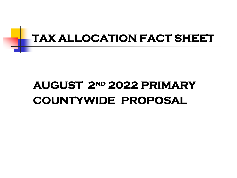

# **AUGUST 2nd 2022 PRIMARY COUNTYWIDE PROPOSAL**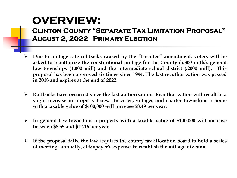### **OVERVIEW:**

#### **Clinton County "Separate Tax Limitation Proposal" August 2, 2022 Primary Election**

- **Due to millage rate rollbacks caused by the "Headlee" amendment, voters will be asked to reauthorize the constitutional millage for the County (5.800 mills), general law townships (1.000 mill) and the intermediate school district (.2000 mill). This proposal has been approved six times since 1994. The last reauthorization was passed in 2018 and expires at the end of 2022.**
- **Rollbacks have occurred since the last authorization. Reauthorization will result in a slight increase in property taxes. In cities, villages and charter townships a home with a taxable value of \$100,000 will increase \$8.49 per year.**
- **In general law townships a property with a taxable value of \$100,000 will increase between \$8.55 and \$12.16 per year.**
- **If the proposal fails, the law requires the county tax allocation board to hold a series of meetings annually, at taxpayer's expense, to establish the millage division.**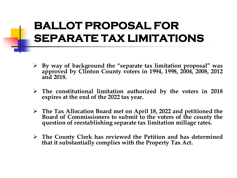### **BALLOT PROPOSAL FOR SEPARATE TAX LIMITATIONS**

- **By way of background the "separate tax limitation proposal" was approved by Clinton County voters in 1994, 1998, 2004, 2008, 2012 and 2018.**
- **The constitutional limitation authorized by the voters in 2018 expires at the end of the 2022 tax year.**
- **The Tax Allocation Board met on April 18, 2022 and petitioned the Board of Commissioners to submit to the voters of the county the question of reestablishing separate tax limitation millage rates.**
- **The County Clerk has reviewed the Petition and has determined that it substantially complies with the Property Tax Act.**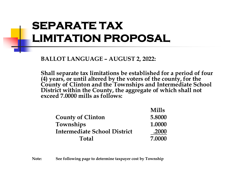# **SEPARATE TAX LIMITATION PROPOSAL**

**BALLOT LANGUAGE – AUGUST 2, 2022:**

**Shall separate tax limitations be established for a period of four (4) years, or until altered by the voters of the county, for the County of Clinton and the Townships and Intermediate School District within the County, the aggregate of which shall not exceed 7.0000 mills as follows:**

| <b>Mills</b> |
|--------------|
| 5.8000       |
| 1.0000       |
| .2000        |
| 7.0000       |
|              |

**Note: See following page to determine taxpayer cost by Township**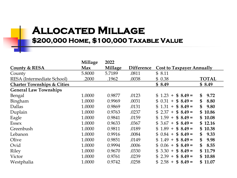### **Allocated Millage \$200,000 Home, \$100,000 Taxable Value**

|                                       | Millage | 2022    |                   |                                         |                       |
|---------------------------------------|---------|---------|-------------------|-----------------------------------------|-----------------------|
| <b>County &amp; RESA</b>              | Max     | Millage | <b>Difference</b> | <b>Cost to Taxpayer Annually</b>        |                       |
| County                                | 5.8000  | 5.7189  | .0811             | \$8.11                                  |                       |
| RESA (Intermediate School)            | .2000   | .1962   | .0038             | 0.38<br>\$                              | <b>TOTAL</b>          |
| <b>Charter Townships &amp; Cities</b> |         |         |                   | \$8.49                                  | \$8.49                |
| <b>General Law Townships</b>          |         |         |                   |                                         |                       |
| Bengal                                | 1.0000  | 0.9877  | .0123             | \$1.23<br>$$8.49=$<br>$+$               | $\mathbf{\$}$<br>9.72 |
| Bingham                               | 1.0000  | 0.9969  | .0031             | $$8.49=$<br>0.31<br>S.<br>$+$           | \$<br>8.80            |
| Dallas                                | 1.0000  | 0.9869  | .0131             | $$8.49=$<br>\$1.31<br>$+$               | \$<br>9.80            |
| Duplain                               | 1.0000  | 0.9763  | .0237             | $$8.49=$<br>2.37<br>$\mathbf{S}$<br>$+$ | \$10.86               |
| Eagle                                 | 1.0000  | 0.9841  | .0159             | $$8.49=$<br>1.59<br>\$<br>$+$           | \$10.08               |
| <b>Essex</b>                          | 1.0000  | 0.9633  | .0367             | $$8.49=$<br>\$3.67<br>$+$               | \$12.16               |
| Greenbush                             | 1.0000  | 0.9811  | .0189             | \$1.89<br>$$8.49=$<br>$+$               | \$10.38               |
| Lebanon                               | 1.0000  | 0.9916  | .0084             | $$8.49=$<br>$$0.84 +$                   | \$<br>9.33            |
| Olive                                 | 1.0000  | 0.9851  | .0149             | $$8.49=$<br>\$1.49<br>$+$               | \$<br>9.98            |
| Ovid                                  | 1.0000  | 0.9994  | .0006             | $$8.49=$<br>$$0.06 +$                   | \$<br>8.55            |
| Riley                                 | 1.0000  | 0.9670  | .0330             | \$3.30<br>$$8.49=$<br>$+$               | \$11.79               |
| Victor                                | 1.0000  | 0.9761  | .0239             | \$2.39<br>$$8.49=$<br>$+$               | \$10.88               |
| Westphalia                            | 1.0000  | 0.9742  | .0258             | $$2.58 +$<br>$$8.49=$                   | \$11.07               |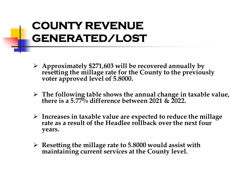# **COUNTY REVENUE GENERATED/LOST**

- **Approximately \$271,603 will be recovered annually by resetting the millage rate for the County to the previously voter approved level of 5.8000.**
- **The following table shows the annual change in taxable value, there is a 5.77% difference between 2021 & 2022.**
- **Increases in taxable value are expected to reduce the millage rate as a result of the Headlee rollback over the next four years.**
- **Resetting the millage rate to 5.8000 would assist with maintaining current services at the County level.**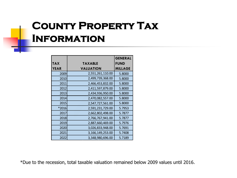### **County Property Tax Information**

|             |                  | <b>GENERAL</b> |
|-------------|------------------|----------------|
| <b>TAX</b>  | <b>TAXABLE</b>   | <b>FUND</b>    |
| <b>YEAR</b> | <b>VALUATION</b> | <b>MILLAGE</b> |
| 2009        | 2,551,261,110.00 | 5.8000         |
| 2010        | 2,499,739,368.00 | 5.8000         |
| 2011        | 2,466,453,832.00 | 5.8000         |
| 2012        | 2,411,597,879.00 | 5.8000         |
| 2013        | 2,434,936,950.00 | 5.8000         |
| 2014        | 2,470,082,557.00 | 5.8000         |
| 2015        | 2,547,727,561.00 | 5.8000         |
| *2016       | 2,591,231,729.00 | 5.7953         |
| 2017        | 2,662,802,498.00 | 5.7877         |
| 2018        | 2,766,767,941.00 | 5.7877         |
| 2019        | 2,887,660,469.00 | 5.7976         |
| 2020        | 3,026,833,948.00 | 5.7691         |
| 2021        | 3,166,149,253.00 | 5.7408         |
| 2022        | 3,348,980,696.00 | 5.7189         |

\*Due to the recession, total taxable valuation remained below 2009 values until 2016.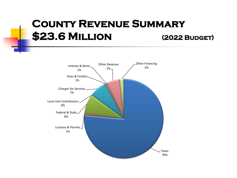### **County Revenue Summary \$23.6 MILLION (2022 BUDGET)**